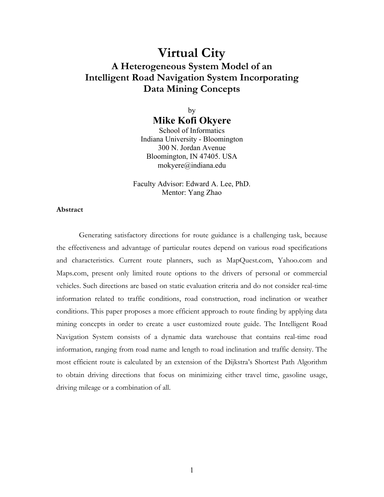# **Virtual City A Heterogeneous System Model of an Intelligent Road Navigation System Incorporating Data Mining Concepts**

by **Mike Kofi Okyere** 

School of Informatics Indiana University - Bloomington 300 N. Jordan Avenue Bloomington, IN 47405. USA mokyere@indiana.edu

Faculty Advisor: Edward A. Lee, PhD. Mentor: Yang Zhao

# **Abstract**

Generating satisfactory directions for route guidance is a challenging task, because the effectiveness and advantage of particular routes depend on various road specifications and characteristics. Current route planners, such as MapQuest.com, Yahoo.com and Maps.com, present only limited route options to the drivers of personal or commercial vehicles. Such directions are based on static evaluation criteria and do not consider real-time information related to traffic conditions, road construction, road inclination or weather conditions. This paper proposes a more efficient approach to route finding by applying data mining concepts in order to create a user customized route guide. The Intelligent Road Navigation System consists of a dynamic data warehouse that contains real-time road information, ranging from road name and length to road inclination and traffic density. The most efficient route is calculated by an extension of the Dijkstra's Shortest Path Algorithm to obtain driving directions that focus on minimizing either travel time, gasoline usage, driving mileage or a combination of all.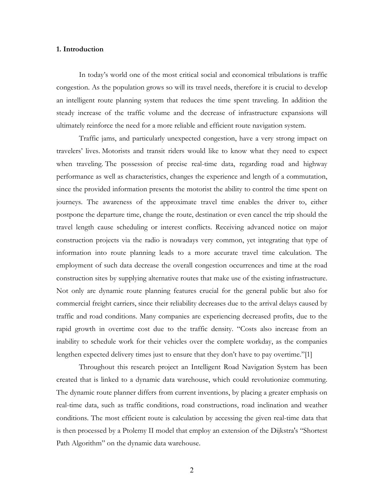#### **1. Introduction**

In today's world one of the most critical social and economical tribulations is traffic congestion. As the population grows so will its travel needs, therefore it is crucial to develop an intelligent route planning system that reduces the time spent traveling. In addition the steady increase of the traffic volume and the decrease of infrastructure expansions will ultimately reinforce the need for a more reliable and efficient route navigation system.

Traffic jams, and particularly unexpected congestion, have a very strong impact on travelers' lives. Motorists and transit riders would like to know what they need to expect when traveling. The possession of precise real-time data, regarding road and highway performance as well as characteristics, changes the experience and length of a commutation, since the provided information presents the motorist the ability to control the time spent on journeys. The awareness of the approximate travel time enables the driver to, either postpone the departure time, change the route, destination or even cancel the trip should the travel length cause scheduling or interest conflicts. Receiving advanced notice on major construction projects via the radio is nowadays very common, yet integrating that type of information into route planning leads to a more accurate travel time calculation. The employment of such data decrease the overall congestion occurrences and time at the road construction sites by supplying alternative routes that make use of the existing infrastructure. Not only are dynamic route planning features crucial for the general public but also for commercial freight carriers, since their reliability decreases due to the arrival delays caused by traffic and road conditions. Many companies are experiencing decreased profits, due to the rapid growth in overtime cost due to the traffic density. "Costs also increase from an inability to schedule work for their vehicles over the complete workday, as the companies lengthen expected delivery times just to ensure that they don't have to pay overtime."[1]

Throughout this research project an Intelligent Road Navigation System has been created that is linked to a dynamic data warehouse, which could revolutionize commuting. The dynamic route planner differs from current inventions, by placing a greater emphasis on real-time data, such as traffic conditions, road constructions, road inclination and weather conditions. The most efficient route is calculation by accessing the given real-time data that is then processed by a Ptolemy II model that employ an extension of the Dijkstra's "Shortest Path Algorithm" on the dynamic data warehouse.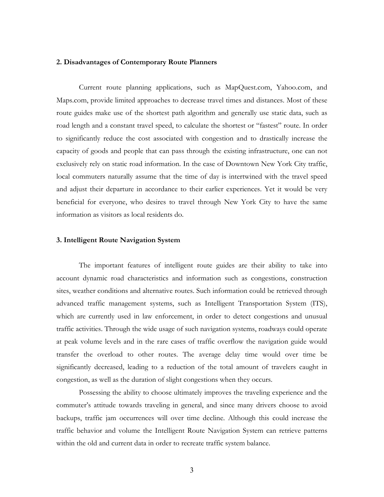## **2. Disadvantages of Contemporary Route Planners**

Current route planning applications, such as MapQuest.com, Yahoo.com, and Maps.com, provide limited approaches to decrease travel times and distances. Most of these route guides make use of the shortest path algorithm and generally use static data, such as road length and a constant travel speed, to calculate the shortest or "fastest" route. In order to significantly reduce the cost associated with congestion and to drastically increase the capacity of goods and people that can pass through the existing infrastructure, one can not exclusively rely on static road information. In the case of Downtown New York City traffic, local commuters naturally assume that the time of day is intertwined with the travel speed and adjust their departure in accordance to their earlier experiences. Yet it would be very beneficial for everyone, who desires to travel through New York City to have the same information as visitors as local residents do.

#### **3. Intelligent Route Navigation System**

The important features of intelligent route guides are their ability to take into account dynamic road characteristics and information such as congestions, construction sites, weather conditions and alternative routes. Such information could be retrieved through advanced traffic management systems, such as Intelligent Transportation System (ITS), which are currently used in law enforcement, in order to detect congestions and unusual traffic activities. Through the wide usage of such navigation systems, roadways could operate at peak volume levels and in the rare cases of traffic overflow the navigation guide would transfer the overload to other routes. The average delay time would over time be significantly decreased, leading to a reduction of the total amount of travelers caught in congestion, as well as the duration of slight congestions when they occurs.

Possessing the ability to choose ultimately improves the traveling experience and the commuter's attitude towards traveling in general, and since many drivers choose to avoid backups, traffic jam occurrences will over time decline. Although this could increase the traffic behavior and volume the Intelligent Route Navigation System can retrieve patterns within the old and current data in order to recreate traffic system balance.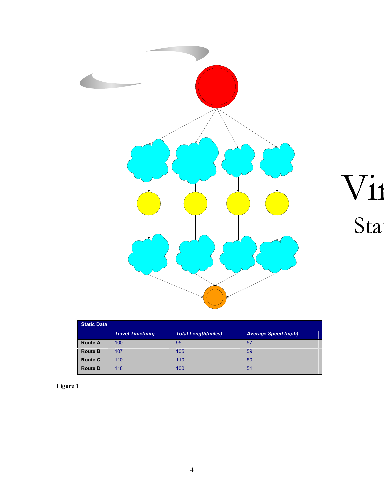

Vi1<br>Sta

| <b>Static Data</b> |                         |                            |                            |  |  |
|--------------------|-------------------------|----------------------------|----------------------------|--|--|
|                    | <b>Travel Time(min)</b> | <b>Total Length(miles)</b> | <b>Average Speed (mph)</b> |  |  |
| <b>Route A</b>     | 100                     | 95                         | 57                         |  |  |
| <b>Route B</b>     | 107                     | 105                        | 59                         |  |  |
| <b>Route C</b>     | 110                     | 110                        | 60                         |  |  |
| <b>Route D</b>     | 118                     | 100                        | 51                         |  |  |

**Figure 1**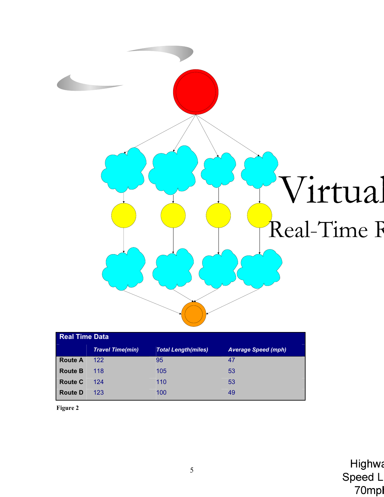

| <b>Real Time Data</b> |                         |                            |                            |  |  |
|-----------------------|-------------------------|----------------------------|----------------------------|--|--|
|                       | <b>Travel Time(min)</b> | <b>Total Length(miles)</b> | <b>Average Speed (mph)</b> |  |  |
| <b>Route A</b>        | 122                     | 95                         | 47                         |  |  |
| <b>Route B</b>        | 118                     | 105                        | 53                         |  |  |
| <b>Route C</b>        | 124                     | 110                        | 53                         |  |  |
| <b>Route D</b>        | 123                     | 100                        | 49                         |  |  |

**Figure 2**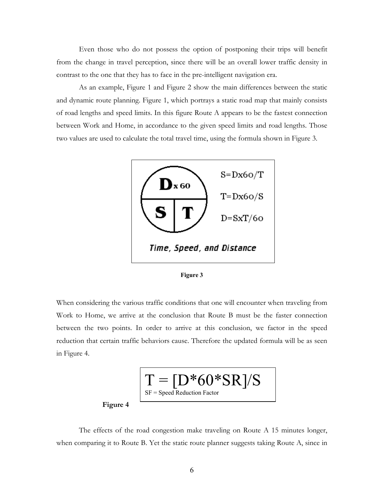Even those who do not possess the option of postponing their trips will benefit from the change in travel perception, since there will be an overall lower traffic density in contrast to the one that they has to face in the pre-intelligent navigation era.

As an example, Figure 1 and Figure 2 show the main differences between the static and dynamic route planning. Figure 1, which portrays a static road map that mainly consists of road lengths and speed limits. In this figure Route A appears to be the fastest connection between Work and Home, in accordance to the given speed limits and road lengths. Those two values are used to calculate the total travel time, using the formula shown in Figure 3.





When considering the various traffic conditions that one will encounter when traveling from Work to Home, we arrive at the conclusion that Route B must be the faster connection between the two points. In order to arrive at this conclusion, we factor in the speed reduction that certain traffic behaviors cause. Therefore the updated formula will be as seen in Figure 4.



The effects of the road congestion make traveling on Route A 15 minutes longer, when comparing it to Route B. Yet the static route planner suggests taking Route A, since in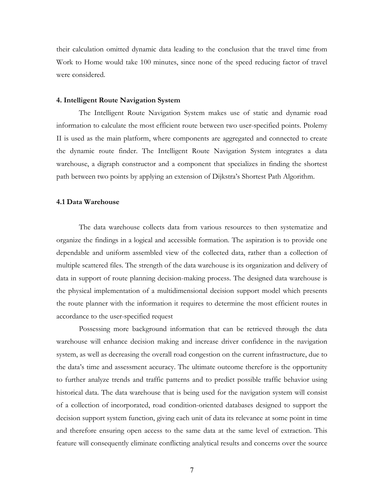their calculation omitted dynamic data leading to the conclusion that the travel time from Work to Home would take 100 minutes, since none of the speed reducing factor of travel were considered.

## **4. Intelligent Route Navigation System**

The Intelligent Route Navigation System makes use of static and dynamic road information to calculate the most efficient route between two user-specified points. Ptolemy II is used as the main platform, where components are aggregated and connected to create the dynamic route finder. The Intelligent Route Navigation System integrates a data warehouse, a digraph constructor and a component that specializes in finding the shortest path between two points by applying an extension of Dijkstra's Shortest Path Algorithm.

#### **4.1 Data Warehouse**

The data warehouse collects data from various resources to then systematize and organize the findings in a logical and accessible formation. The aspiration is to provide one dependable and uniform assembled view of the collected data, rather than a collection of multiple scattered files. The strength of the data warehouse is its organization and delivery of data in support of route planning decision-making process. The designed data warehouse is the physical implementation of a multidimensional decision support model which presents the route planner with the information it requires to determine the most efficient routes in accordance to the user-specified request

Possessing more background information that can be retrieved through the data warehouse will enhance decision making and increase driver confidence in the navigation system, as well as decreasing the overall road congestion on the current infrastructure, due to the data's time and assessment accuracy. The ultimate outcome therefore is the opportunity to further analyze trends and traffic patterns and to predict possible traffic behavior using historical data. The data warehouse that is being used for the navigation system will consist of a collection of incorporated, road condition-oriented databases designed to support the decision support system function, giving each unit of data its relevance at some point in time and therefore ensuring open access to the same data at the same level of extraction. This feature will consequently eliminate conflicting analytical results and concerns over the source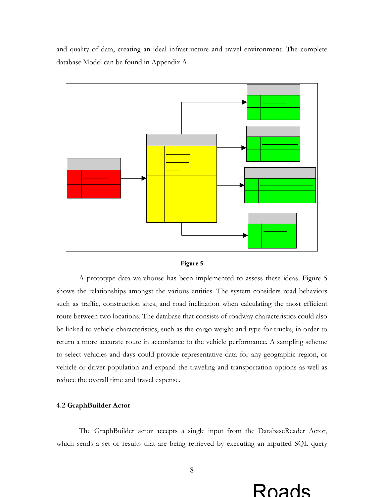and quality of data, creating an ideal infrastructure and travel environment. The complete database Model can be found in Appendix A.





A prototype data warehouse has been implemented to assess these ideas. Figure 5 shows the relationships amongst the various entities. The system considers road behaviors such as traffic, construction sites, and road inclination when calculating the most efficient route between two locations. The database that consists of roadway characteristics could also be linked to vehicle characteristics, such as the cargo weight and type for trucks, in order to return a more accurate route in accordance to the vehicle performance. A sampling scheme to select vehicles and days could provide representative data for any geographic region, or vehicle or driver population and expand the traveling and transportation options as well as reduce the overall time and travel expense.

# **4.2 GraphBuilder Actor**

The GraphBuilder actor accepts a single input from the DatabaseReader Actor, which sends a set of results that are being retrieved by executing an inputted SQL query

# Roads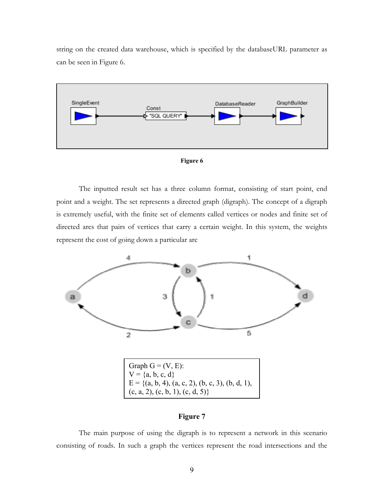string on the created data warehouse, which is specified by the databaseURL parameter as can be seen in Figure 6.





The inputted result set has a three column format, consisting of start point, end point and a weight. The set represents a directed graph (digraph). The concept of a digraph is extremely useful, with the finite set of elements called vertices or nodes and finite set of directed arcs that pairs of vertices that carry a certain weight. In this system, the weights represent the cost of going down a particular arc



# **Figure 7**

The main purpose of using the digraph is to represent a network in this scenario consisting of roads. In such a graph the vertices represent the road intersections and the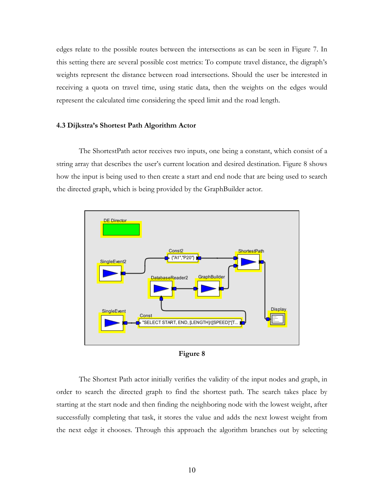edges relate to the possible routes between the intersections as can be seen in Figure 7. In this setting there are several possible cost metrics: To compute travel distance, the digraph's weights represent the distance between road intersections. Should the user be interested in receiving a quota on travel time, using static data, then the weights on the edges would represent the calculated time considering the speed limit and the road length.

#### **4.3 Dijkstra's Shortest Path Algorithm Actor**

The ShortestPath actor receives two inputs, one being a constant, which consist of a string array that describes the user's current location and desired destination. Figure 8 shows how the input is being used to then create a start and end node that are being used to search the directed graph, which is being provided by the GraphBuilder actor.



**Figure 8** 

The Shortest Path actor initially verifies the validity of the input nodes and graph, in order to search the directed graph to find the shortest path. The search takes place by starting at the start node and then finding the neighboring node with the lowest weight, after successfully completing that task, it stores the value and adds the next lowest weight from the next edge it chooses. Through this approach the algorithm branches out by selecting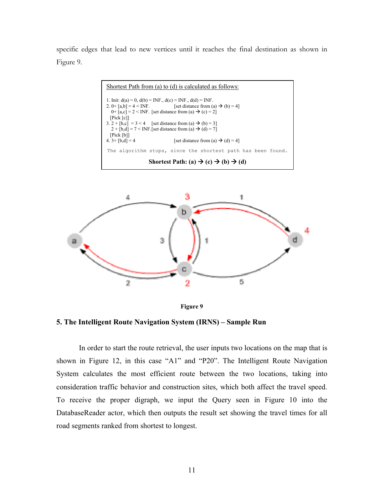specific edges that lead to new vertices until it reaches the final destination as shown in Figure 9.







**5. The Intelligent Route Navigation System (IRNS) – Sample Run** 

In order to start the route retrieval, the user inputs two locations on the map that is shown in Figure 12, in this case "A1" and "P20". The Intelligent Route Navigation System calculates the most efficient route between the two locations, taking into consideration traffic behavior and construction sites, which both affect the travel speed. To receive the proper digraph, we input the Query seen in Figure 10 into the DatabaseReader actor, which then outputs the result set showing the travel times for all road segments ranked from shortest to longest.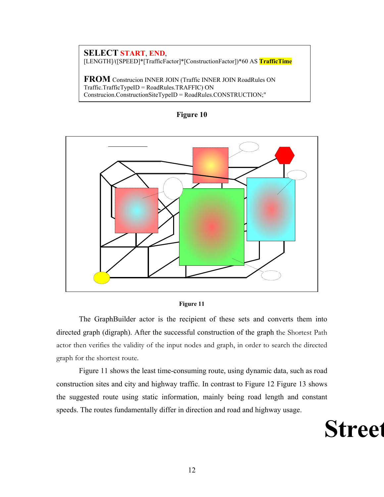# **SELECT START**, **END**, [LENGTH]/([SPEED]\*[TrafficFactor]\*[ConstructionFactor])\*60 AS **TrafficTime**

**FROM** Construcion INNER JOIN (Traffic INNER JOIN RoadRules ON Traffic.TrafficTypeID = RoadRules.TRAFFIC) ON Construcion.ConstructionSiteTypeID = RoadRules.CONSTRUCTION;"







The GraphBuilder actor is the recipient of these sets and converts them into directed graph (digraph). After the successful construction of the graph the Shortest Path actor then verifies the validity of the input nodes and graph, in order to search the directed graph for the shortest route.

Figure 11 shows the least time-consuming route, using dynamic data, such as road construction sites and city and highway traffic. In contrast to Figure 12 Figure 13 shows the suggested route using static information, mainly being road length and constant speeds. The routes fundamentally differ in direction and road and highway usage.

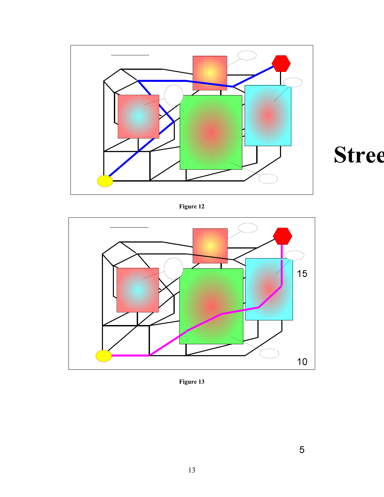



**Figure 12** 



**Figure 13**